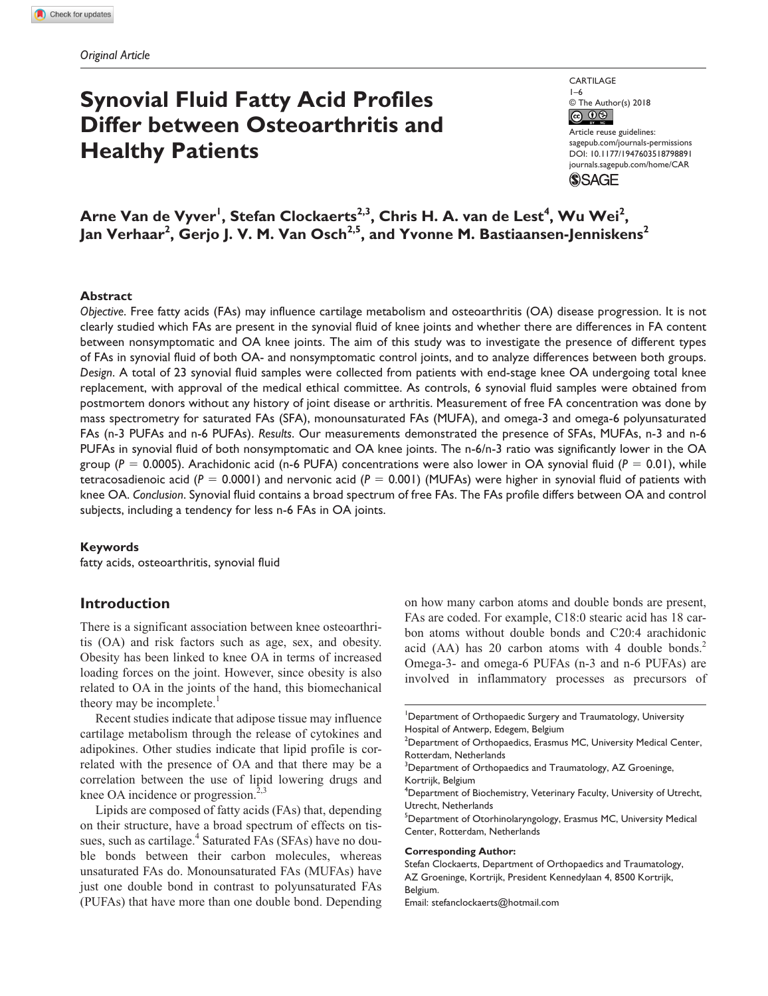# **Synovial Fluid Fatty Acid Profiles Differ between Osteoarthritis and Healthy Patients**

CARTILAGE 1–6 © The Author(s) 2018 <u>© 0 ම</u>

Article reuse guidelines: [sagepub.com/journals-permissions](https://us.sagepub.com/en-us/journals-permissions) DOI: 10.1177/1947603518798891 [journals.sagepub.com/home/CAR](https://journals.sagepub.com/home/CAR) **SSAGE** 

 $\bm{\mathsf{Arne}}$  Van de Vyver<sup>!</sup>, Stefan Clockaerts<sup>2,3</sup>, Chris H. A. van de Lest<sup>4</sup>, Wu Wei<sup>2</sup>, Jan Verhaar<sup>2</sup>, Gerjo J. V. M. Van Osch<sup>2,5</sup>, and Yvonne M. Bastiaansen-Jenniskens<sup>2</sup>

#### **Abstract**

*Objective*. Free fatty acids (FAs) may influence cartilage metabolism and osteoarthritis (OA) disease progression. It is not clearly studied which FAs are present in the synovial fluid of knee joints and whether there are differences in FA content between nonsymptomatic and OA knee joints. The aim of this study was to investigate the presence of different types of FAs in synovial fluid of both OA- and nonsymptomatic control joints, and to analyze differences between both groups. *Design*. A total of 23 synovial fluid samples were collected from patients with end-stage knee OA undergoing total knee replacement, with approval of the medical ethical committee. As controls, 6 synovial fluid samples were obtained from postmortem donors without any history of joint disease or arthritis. Measurement of free FA concentration was done by mass spectrometry for saturated FAs (SFA), monounsaturated FAs (MUFA), and omega-3 and omega-6 polyunsaturated FAs (n-3 PUFAs and n-6 PUFAs). *Results*. Our measurements demonstrated the presence of SFAs, MUFAs, n-3 and n-6 PUFAs in synovial fluid of both nonsymptomatic and OA knee joints. The n-6/n-3 ratio was significantly lower in the OA group ( $P = 0.0005$ ). Arachidonic acid (n-6 PUFA) concentrations were also lower in OA synovial fluid ( $P = 0.01$ ), while tetracosadienoic acid ( $P = 0.0001$ ) and nervonic acid ( $P = 0.001$ ) (MUFAs) were higher in synovial fluid of patients with knee OA. *Conclusion*. Synovial fluid contains a broad spectrum of free FAs. The FAs profile differs between OA and control subjects, including a tendency for less n-6 FAs in OA joints.

#### **Keywords**

fatty acids, osteoarthritis, synovial fluid

## **Introduction**

There is a significant association between knee osteoarthritis (OA) and risk factors such as age, sex, and obesity. Obesity has been linked to knee OA in terms of increased loading forces on the joint. However, since obesity is also related to OA in the joints of the hand, this biomechanical theory may be incomplete. $<sup>1</sup>$ </sup>

Recent studies indicate that adipose tissue may influence cartilage metabolism through the release of cytokines and adipokines. Other studies indicate that lipid profile is correlated with the presence of OA and that there may be a correlation between the use of lipid lowering drugs and knee OA incidence or progression. $2,3$ 

Lipids are composed of fatty acids (FAs) that, depending on their structure, have a broad spectrum of effects on tissues, such as cartilage.<sup>4</sup> Saturated FAs (SFAs) have no double bonds between their carbon molecules, whereas unsaturated FAs do. Monounsaturated FAs (MUFAs) have just one double bond in contrast to polyunsaturated FAs (PUFAs) that have more than one double bond. Depending

on how many carbon atoms and double bonds are present, FAs are coded. For example, C18:0 stearic acid has 18 carbon atoms without double bonds and C20:4 arachidonic acid  $(AA)$  has 20 carbon atoms with 4 double bonds.<sup>2</sup> Omega-3- and omega-6 PUFAs (n-3 and n-6 PUFAs) are involved in inflammatory processes as precursors of

<sup>5</sup>Department of Otorhinolaryngology, Erasmus MC, University Medical Center, Rotterdam, Netherlands

#### **Corresponding Author:**

Stefan Clockaerts, Department of Orthopaedics and Traumatology, AZ Groeninge, Kortrijk, President Kennedylaan 4, 8500 Kortrijk, Belgium.

Email: [stefanclockaerts@hotmail.com](mailto:stefanclockaerts@hotmail.com)

<sup>&</sup>lt;sup>1</sup>Department of Orthopaedic Surgery and Traumatology, University Hospital of Antwerp, Edegem, Belgium

 $^{2}$ Department of Orthopaedics, Erasmus MC, University Medical Center, Rotterdam, Netherlands

 $3$ Department of Orthopaedics and Traumatology, AZ Groeninge, Kortrijk, Belgium

<sup>4</sup> Department of Biochemistry, Veterinary Faculty, University of Utrecht, Utrecht, Netherlands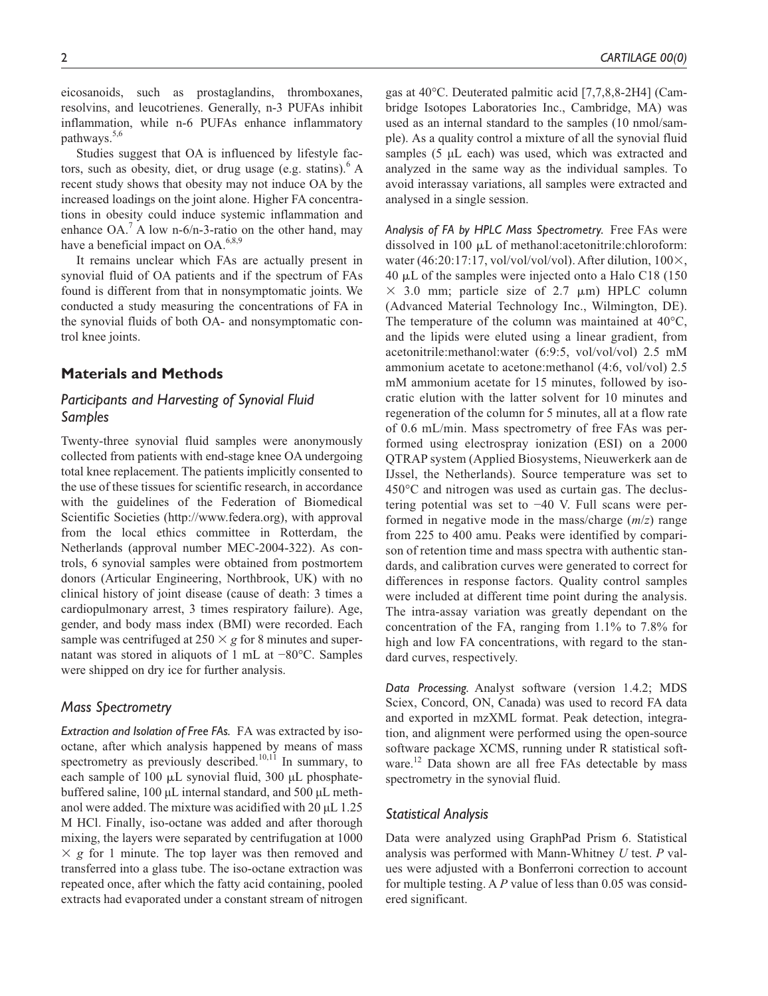eicosanoids, such as prostaglandins, thromboxanes, resolvins, and leucotrienes. Generally, n-3 PUFAs inhibit inflammation, while n-6 PUFAs enhance inflammatory pathways.<sup>5,6</sup>

Studies suggest that OA is influenced by lifestyle factors, such as obesity, diet, or drug usage (e.g. statins).<sup>6</sup> A recent study shows that obesity may not induce OA by the increased loadings on the joint alone. Higher FA concentrations in obesity could induce systemic inflammation and enhance OA.<sup>7</sup> A low n-6/n-3-ratio on the other hand, may have a beneficial impact on OA.<sup>6,8,9</sup>

It remains unclear which FAs are actually present in synovial fluid of OA patients and if the spectrum of FAs found is different from that in nonsymptomatic joints. We conducted a study measuring the concentrations of FA in the synovial fluids of both OA- and nonsymptomatic control knee joints.

#### **Materials and Methods**

# *Participants and Harvesting of Synovial Fluid Samples*

Twenty-three synovial fluid samples were anonymously collected from patients with end-stage knee OA undergoing total knee replacement. The patients implicitly consented to the use of these tissues for scientific research, in accordance with the guidelines of the Federation of Biomedical Scientific Societies [\(http://www.federa.org](http://www.federa.org)), with approval from the local ethics committee in Rotterdam, the Netherlands (approval number MEC-2004-322). As controls, 6 synovial samples were obtained from postmortem donors (Articular Engineering, Northbrook, UK) with no clinical history of joint disease (cause of death: 3 times a cardiopulmonary arrest, 3 times respiratory failure). Age, gender, and body mass index (BMI) were recorded. Each sample was centrifuged at  $250 \times g$  for 8 minutes and supernatant was stored in aliquots of 1 mL at −80°C. Samples were shipped on dry ice for further analysis.

## *Mass Spectrometry*

*Extraction and Isolation of Free FAs.* FA was extracted by isooctane, after which analysis happened by means of mass spectrometry as previously described.<sup>10,11</sup> In summary, to each sample of 100 μL synovial fluid, 300 µL phosphatebuffered saline, 100 µL internal standard, and 500 µL methanol were added. The mixture was acidified with 20 µL 1.25 M HCl. Finally, iso-octane was added and after thorough mixing, the layers were separated by centrifugation at 1000  $\times$  *g* for 1 minute. The top layer was then removed and transferred into a glass tube. The iso-octane extraction was repeated once, after which the fatty acid containing, pooled extracts had evaporated under a constant stream of nitrogen

gas at 40°C. Deuterated palmitic acid [7,7,8,8-2H4] (Cambridge Isotopes Laboratories Inc., Cambridge, MA) was used as an internal standard to the samples (10 nmol/sample). As a quality control a mixture of all the synovial fluid samples (5 µL each) was used, which was extracted and analyzed in the same way as the individual samples. To avoid interassay variations, all samples were extracted and analysed in a single session.

*Analysis of FA by HPLC Mass Spectrometry.* Free FAs were dissolved in 100 μL of methanol:acetonitrile:chloroform: water (46:20:17:17, vol/vol/vol/vol). After dilution,  $100\times$ , 40 μL of the samples were injected onto a Halo C18 (150  $\times$  3.0 mm; particle size of 2.7  $\mu$ m) HPLC column (Advanced Material Technology Inc., Wilmington, DE). The temperature of the column was maintained at 40°C, and the lipids were eluted using a linear gradient, from acetonitrile:methanol:water (6:9:5, vol/vol/vol) 2.5 mM ammonium acetate to acetone:methanol (4:6, vol/vol) 2.5 mM ammonium acetate for 15 minutes, followed by isocratic elution with the latter solvent for 10 minutes and regeneration of the column for 5 minutes, all at a flow rate of 0.6 mL/min. Mass spectrometry of free FAs was performed using electrospray ionization (ESI) on a 2000 QTRAP system (Applied Biosystems, Nieuwerkerk aan de IJssel, the Netherlands). Source temperature was set to 450°C and nitrogen was used as curtain gas. The declustering potential was set to −40 V. Full scans were performed in negative mode in the mass/charge (*m*/*z*) range from 225 to 400 amu. Peaks were identified by comparison of retention time and mass spectra with authentic standards, and calibration curves were generated to correct for differences in response factors. Quality control samples were included at different time point during the analysis. The intra-assay variation was greatly dependant on the concentration of the FA, ranging from 1.1% to 7.8% for high and low FA concentrations, with regard to the standard curves, respectively.

*Data Processing.* Analyst software (version 1.4.2; MDS Sciex, Concord, ON, Canada) was used to record FA data and exported in mzXML format. Peak detection, integration, and alignment were performed using the open-source software package XCMS, running under R statistical software.<sup>12</sup> Data shown are all free FAs detectable by mass spectrometry in the synovial fluid.

#### *Statistical Analysis*

Data were analyzed using GraphPad Prism 6. Statistical analysis was performed with Mann-Whitney *U* test. *P* values were adjusted with a Bonferroni correction to account for multiple testing. A *P* value of less than 0.05 was considered significant.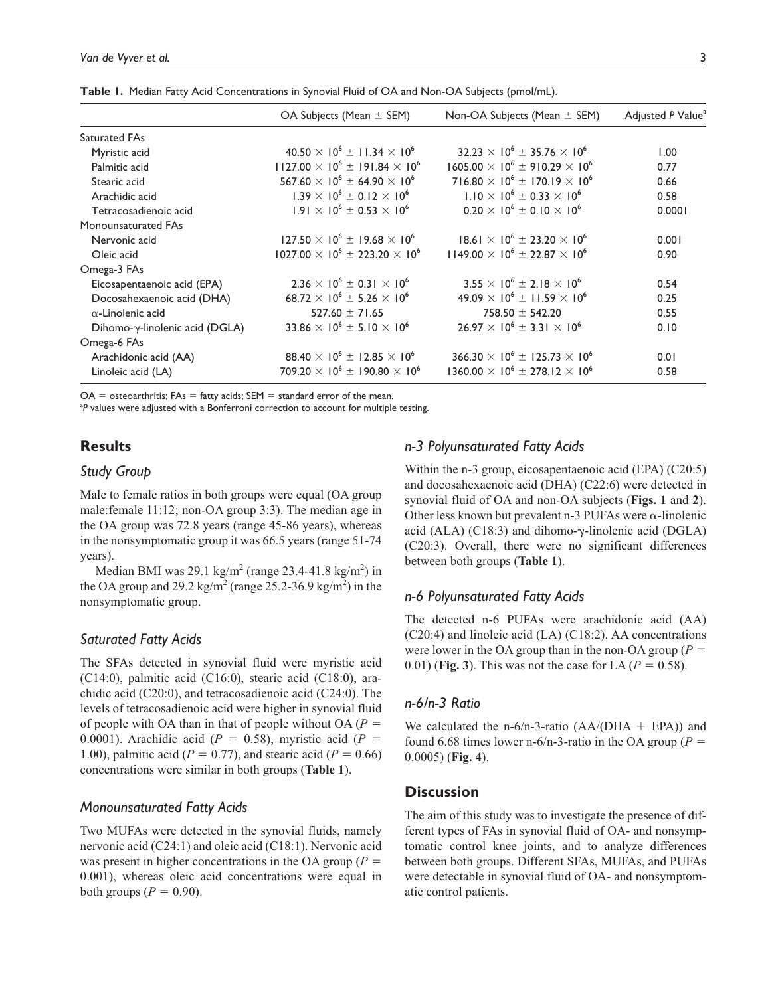|                                         | OA Subjects (Mean $\pm$ SEM)                                          | Non-OA Subjects (Mean $\pm$ SEM)                                      | Adjusted P Value <sup>a</sup> |
|-----------------------------------------|-----------------------------------------------------------------------|-----------------------------------------------------------------------|-------------------------------|
| <b>Saturated FAs</b>                    |                                                                       |                                                                       |                               |
| Myristic acid                           | $40.50 \times 10^{6} + 11.34 \times 10^{6}$                           | $32.23 \times 10^6 \pm 35.76 \times 10^6$                             | 1.00                          |
| Palmitic acid                           | $1127.00 \times 10^6 \pm 191.84 \times 10^6$                          | $1605.00 \times 10^6 + 910.29 \times 10^6$                            | 0.77                          |
| Stearic acid                            | $567.60 \times 10^{6} \pm 64.90 \times 10^{6}$                        | 716.80 $\times$ 10 <sup>6</sup> $\pm$ 170.19 $\times$ 10 <sup>6</sup> | 0.66                          |
| Arachidic acid                          | $1.39 \times 10^6 \pm 0.12 \times 10^6$                               | $1.10 \times 10^6 \pm 0.33 \times 10^6$                               | 0.58                          |
| Tetracosadienoic acid                   | $1.91 \times 10^6 \pm 0.53 \times 10^6$                               | $0.20 \times 10^6 \pm 0.10 \times 10^6$                               | 0.0001                        |
| Monounsaturated FAs                     |                                                                       |                                                                       |                               |
| Nervonic acid                           | $127.50 \times 10^{6} \pm 19.68 \times 10^{6}$                        | $18.61 \times 10^{6} \pm 23.20 \times 10^{6}$                         | 0.001                         |
| Oleic acid                              | $1027.00 \times 10^6 \pm 223.20 \times 10^6$                          | $1149.00 \times 10^6 \pm 22.87 \times 10^6$                           | 0.90                          |
| Omega-3 FAs                             |                                                                       |                                                                       |                               |
| Eicosapentaenoic acid (EPA)             | $2.36 \times 10^6 \pm 0.31 \times 10^6$                               | $3.55 \times 10^{6} \pm 2.18 \times 10^{6}$                           | 0.54                          |
| Docosahexaenoic acid (DHA)              | 68.72 $\times$ 10 <sup>6</sup> $\pm$ 5.26 $\times$ 10 <sup>6</sup>    | $49.09 \times 10^{6} \pm 11.59 \times 10^{6}$                         | 0.25                          |
| $\alpha$ -Linolenic acid                | 527.60 $\pm$ 71.65                                                    | $758.50 \pm 542.20$                                                   | 0.55                          |
| Dihomo- $\gamma$ -linolenic acid (DGLA) | 33.86 $\times$ 10 <sup>6</sup> $\pm$ 5.10 $\times$ 10 <sup>6</sup>    | $26.97 \times 10^6 \pm 3.31 \times 10^6$                              | 0.10                          |
| Omega-6 FAs                             |                                                                       |                                                                       |                               |
| Arachidonic acid (AA)                   | $88.40 \times 10^{6} \pm 12.85 \times 10^{6}$                         | $366.30 \times 10^6 \pm 125.73 \times 10^6$                           | 0.01                          |
| Linoleic acid (LA)                      | 709.20 $\times$ 10 <sup>6</sup> $\pm$ 190.80 $\times$ 10 <sup>6</sup> | $1360.00 \times 10^6 \pm 278.12 \times 10^6$                          | 0.58                          |
|                                         |                                                                       |                                                                       |                               |

**Table 1.** Median Fatty Acid Concentrations in Synovial Fluid of OA and Non-OA Subjects (pmol/mL).

 $OA =$  osteoarthritis;  $FAs =$  fatty acids;  $SEM =$  standard error of the mean.

<sup>a</sup>P values were adjusted with a Bonferroni correction to account for multiple testing.

# **Results**

## *Study Group*

Male to female ratios in both groups were equal (OA group male:female 11:12; non-OA group 3:3). The median age in the OA group was 72.8 years (range 45-86 years), whereas in the nonsymptomatic group it was 66.5 years (range 51-74 years).

Median BMI was 29.1 kg/m<sup>2</sup> (range 23.4-41.8 kg/m<sup>2</sup>) in the OA group and 29.2 kg/m<sup>2</sup> (range 25.2-36.9 kg/m<sup>2</sup>) in the nonsymptomatic group.

#### *Saturated Fatty Acids*

The SFAs detected in synovial fluid were myristic acid (C14:0), palmitic acid (C16:0), stearic acid (C18:0), arachidic acid (C20:0), and tetracosadienoic acid (C24:0). The levels of tetracosadienoic acid were higher in synovial fluid of people with OA than in that of people without OA  $(P =$ 0.0001). Arachidic acid ( $P = 0.58$ ), myristic acid ( $P = 0.99$ ) 1.00), palmitic acid ( $P = 0.77$ ), and stearic acid ( $P = 0.66$ ) concentrations were similar in both groups (**Table 1**).

#### *Monounsaturated Fatty Acids*

Two MUFAs were detected in the synovial fluids, namely nervonic acid (C24:1) and oleic acid (C18:1). Nervonic acid was present in higher concentrations in the OA group ( $P =$ 0.001), whereas oleic acid concentrations were equal in both groups  $(P = 0.90)$ .

## *n-3 Polyunsaturated Fatty Acids*

Within the n-3 group, eicosapentaenoic acid (EPA) (C20:5) and docosahexaenoic acid (DHA) (C22:6) were detected in synovial fluid of OA and non-OA subjects (**Figs. 1** and **2**). Other less known but prevalent n-3 PUFAs were  $\alpha$ -linolenic acid (ALA) (C18:3) and dihomo-γ-linolenic acid (DGLA) (C20:3). Overall, there were no significant differences between both groups (**Table 1**).

# *n-6 Polyunsaturated Fatty Acids*

The detected n-6 PUFAs were arachidonic acid (AA) (C20:4) and linoleic acid (LA) (C18:2). AA concentrations were lower in the OA group than in the non-OA group ( $P =$ 0.01) (**Fig. 3**). This was not the case for LA ( $P = 0.58$ ).

## *n-6/n-3 Ratio*

We calculated the n-6/n-3-ratio  $(AA/(\text{DHA + EPA}))$  and found 6.68 times lower n-6/n-3-ratio in the OA group ( $P =$ 0.0005) (**Fig. 4**).

## **Discussion**

The aim of this study was to investigate the presence of different types of FAs in synovial fluid of OA- and nonsymptomatic control knee joints, and to analyze differences between both groups. Different SFAs, MUFAs, and PUFAs were detectable in synovial fluid of OA- and nonsymptomatic control patients.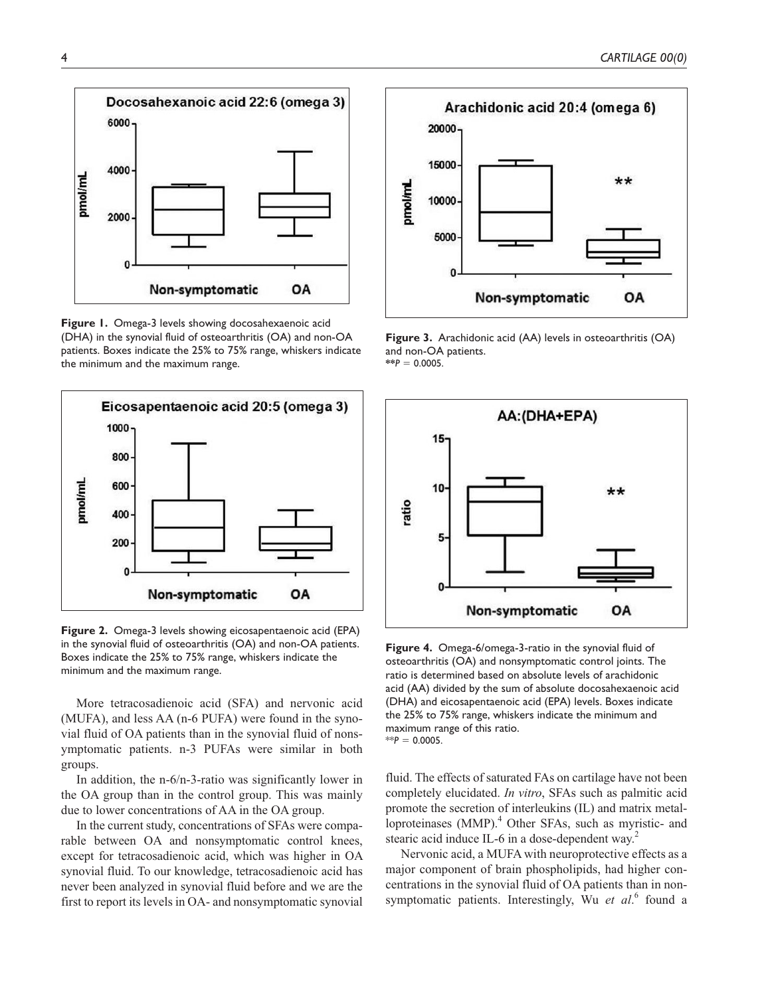

**Figure 1.** Omega-3 levels showing docosahexaenoic acid (DHA) in the synovial fluid of osteoarthritis (OA) and non-OA patients. Boxes indicate the 25% to 75% range, whiskers indicate the minimum and the maximum range.



**Figure 2.** Omega-3 levels showing eicosapentaenoic acid (EPA) in the synovial fluid of osteoarthritis (OA) and non-OA patients. Boxes indicate the 25% to 75% range, whiskers indicate the minimum and the maximum range.

More tetracosadienoic acid (SFA) and nervonic acid (MUFA), and less AA (n-6 PUFA) were found in the synovial fluid of OA patients than in the synovial fluid of nonsymptomatic patients. n-3 PUFAs were similar in both groups.

In addition, the n-6/n-3-ratio was significantly lower in the OA group than in the control group. This was mainly due to lower concentrations of AA in the OA group.

In the current study, concentrations of SFAs were comparable between OA and nonsymptomatic control knees, except for tetracosadienoic acid, which was higher in OA synovial fluid. To our knowledge, tetracosadienoic acid has never been analyzed in synovial fluid before and we are the first to report its levels in OA- and nonsymptomatic synovial



**Figure 3.** Arachidonic acid (AA) levels in osteoarthritis (OA) and non-OA patients. **\*\****P* = 0.0005.



**Figure 4.** Omega-6/omega-3-ratio in the synovial fluid of osteoarthritis (OA) and nonsymptomatic control joints. The ratio is determined based on absolute levels of arachidonic acid (AA) divided by the sum of absolute docosahexaenoic acid (DHA) and eicosapentaenoic acid (EPA) levels. Boxes indicate the 25% to 75% range, whiskers indicate the minimum and maximum range of this ratio.  $*$ *P* = 0.0005.

fluid. The effects of saturated FAs on cartilage have not been completely elucidated. *In vitro*, SFAs such as palmitic acid promote the secretion of interleukins (IL) and matrix metalloproteinases (MMP).<sup>4</sup> Other SFAs, such as myristic- and stearic acid induce IL-6 in a dose-dependent way.<sup>2</sup>

Nervonic acid, a MUFA with neuroprotective effects as a major component of brain phospholipids, had higher concentrations in the synovial fluid of OA patients than in nonsymptomatic patients. Interestingly, Wu *et al*. 6 found a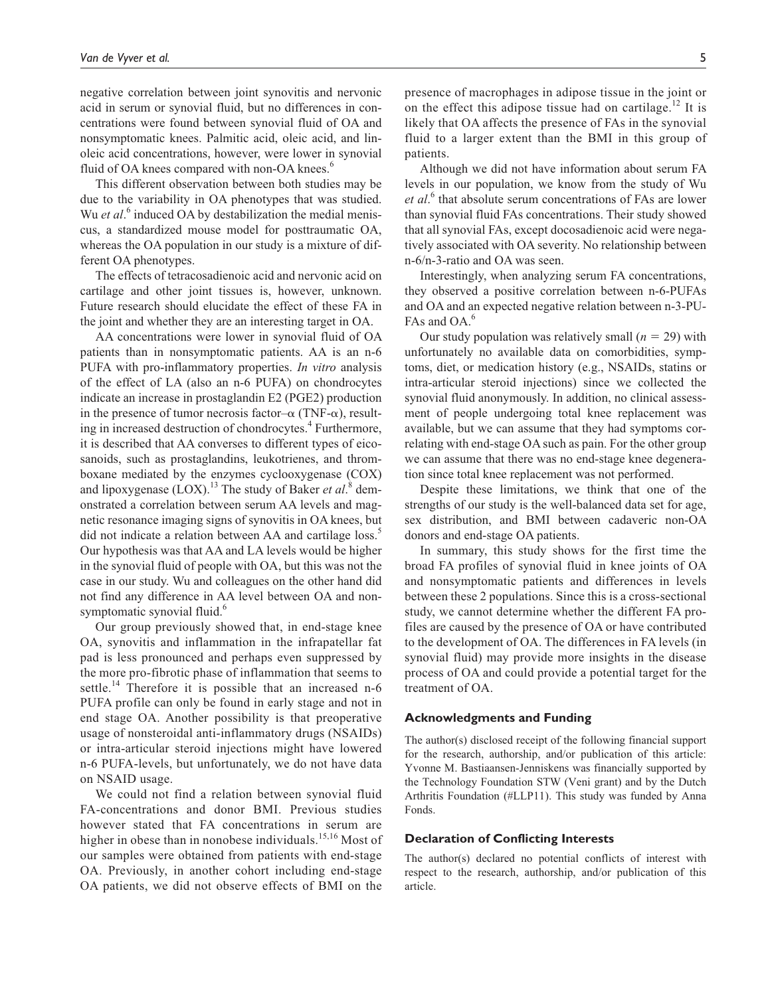negative correlation between joint synovitis and nervonic acid in serum or synovial fluid, but no differences in concentrations were found between synovial fluid of OA and nonsymptomatic knees. Palmitic acid, oleic acid, and linoleic acid concentrations, however, were lower in synovial fluid of OA knees compared with non-OA knees.<sup>6</sup>

This different observation between both studies may be due to the variability in OA phenotypes that was studied. Wu *et al.*<sup>6</sup> induced OA by destabilization the medial meniscus, a standardized mouse model for posttraumatic OA, whereas the OA population in our study is a mixture of different OA phenotypes.

The effects of tetracosadienoic acid and nervonic acid on cartilage and other joint tissues is, however, unknown. Future research should elucidate the effect of these FA in the joint and whether they are an interesting target in OA.

AA concentrations were lower in synovial fluid of OA patients than in nonsymptomatic patients. AA is an n-6 PUFA with pro-inflammatory properties. *In vitro* analysis of the effect of LA (also an n-6 PUFA) on chondrocytes indicate an increase in prostaglandin E2 (PGE2) production in the presence of tumor necrosis factor– $\alpha$  (TNF- $\alpha$ ), resulting in increased destruction of chondrocytes.<sup>4</sup> Furthermore, it is described that AA converses to different types of eicosanoids, such as prostaglandins, leukotrienes, and thromboxane mediated by the enzymes cyclooxygenase (COX) and lipoxygenase (LOX).<sup>13</sup> The study of Baker *et al.*<sup>8</sup> demonstrated a correlation between serum AA levels and magnetic resonance imaging signs of synovitis in OA knees, but did not indicate a relation between AA and cartilage loss.<sup>5</sup> Our hypothesis was that AA and LA levels would be higher in the synovial fluid of people with OA, but this was not the case in our study. Wu and colleagues on the other hand did not find any difference in AA level between OA and nonsymptomatic synovial fluid.<sup>6</sup>

Our group previously showed that, in end-stage knee OA, synovitis and inflammation in the infrapatellar fat pad is less pronounced and perhaps even suppressed by the more pro-fibrotic phase of inflammation that seems to settle.<sup>14</sup> Therefore it is possible that an increased n-6 PUFA profile can only be found in early stage and not in end stage OA. Another possibility is that preoperative usage of nonsteroidal anti-inflammatory drugs (NSAIDs) or intra-articular steroid injections might have lowered n-6 PUFA-levels, but unfortunately, we do not have data on NSAID usage.

We could not find a relation between synovial fluid FA-concentrations and donor BMI. Previous studies however stated that FA concentrations in serum are higher in obese than in nonobese individuals.<sup>15,16</sup> Most of our samples were obtained from patients with end-stage OA. Previously, in another cohort including end-stage OA patients, we did not observe effects of BMI on the

presence of macrophages in adipose tissue in the joint or on the effect this adipose tissue had on cartilage.<sup>12</sup> It is likely that OA affects the presence of FAs in the synovial fluid to a larger extent than the BMI in this group of patients.

Although we did not have information about serum FA levels in our population, we know from the study of Wu et *al*.<sup>6</sup> that absolute serum concentrations of FAs are lower than synovial fluid FAs concentrations. Their study showed that all synovial FAs, except docosadienoic acid were negatively associated with OA severity. No relationship between n-6/n-3-ratio and OA was seen.

Interestingly, when analyzing serum FA concentrations, they observed a positive correlation between n-6-PUFAs and OA and an expected negative relation between n-3-PU-FAs and OA.<sup>6</sup>

Our study population was relatively small  $(n = 29)$  with unfortunately no available data on comorbidities, symptoms, diet, or medication history (e.g., NSAIDs, statins or intra-articular steroid injections) since we collected the synovial fluid anonymously. In addition, no clinical assessment of people undergoing total knee replacement was available, but we can assume that they had symptoms correlating with end-stage OA such as pain. For the other group we can assume that there was no end-stage knee degeneration since total knee replacement was not performed.

Despite these limitations, we think that one of the strengths of our study is the well-balanced data set for age, sex distribution, and BMI between cadaveric non-OA donors and end-stage OA patients.

In summary, this study shows for the first time the broad FA profiles of synovial fluid in knee joints of OA and nonsymptomatic patients and differences in levels between these 2 populations. Since this is a cross-sectional study, we cannot determine whether the different FA profiles are caused by the presence of OA or have contributed to the development of OA. The differences in FA levels (in synovial fluid) may provide more insights in the disease process of OA and could provide a potential target for the treatment of OA.

#### **Acknowledgments and Funding**

The author(s) disclosed receipt of the following financial support for the research, authorship, and/or publication of this article: Yvonne M. Bastiaansen-Jenniskens was financially supported by the Technology Foundation STW (Veni grant) and by the Dutch Arthritis Foundation (#LLP11). This study was funded by Anna Fonds.

#### **Declaration of Conflicting Interests**

The author(s) declared no potential conflicts of interest with respect to the research, authorship, and/or publication of this article.